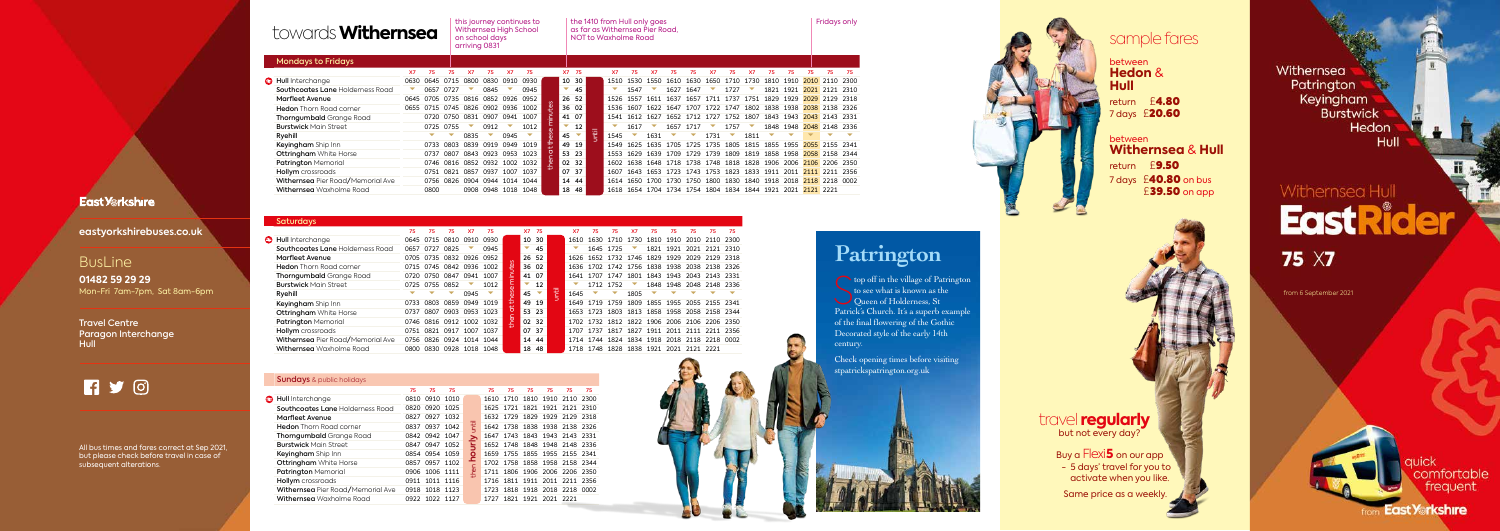## towards **Withernsea**

the 1410 from Hull only goes as far as Withernsea Pier Road, NOT to Waxholme Road this journey continues to  $\qquad \qquad |$  the 1410 from Hull only goes  $\qquad \qquad |$  Fridays only

| <b>Saturdays</b>                  |      |                     |           |           |      |          |                          |                          |            |           |                                         |           |           |                                         |      |                          |           |      |
|-----------------------------------|------|---------------------|-----------|-----------|------|----------|--------------------------|--------------------------|------------|-----------|-----------------------------------------|-----------|-----------|-----------------------------------------|------|--------------------------|-----------|------|
|                                   | 75   | 75                  | 75        | <b>X7</b> | 75   |          | X7                       | 75                       |            | <b>X7</b> | 75                                      | 75        | <b>X7</b> | 75                                      | 75   | 75                       | 75        | 75   |
| <b>B</b> Hull Interchange         | 0645 | 0715                | 0810      | 0910      | 0930 |          | 10                       | 30                       |            | 1610      | 1630                                    | 1710      | 1730      | 1810                                    | 1910 | 2010                     | 2110      | 2300 |
| Southcoates Lane Holderness Road  | 0657 | 0727                | 0825      |           | 0945 |          | ▽                        | 45                       |            |           | 1645                                    | 1725      |           | 1821                                    | 1921 | 2021                     | 2121 2310 |      |
| <b>Marfleet Avenue</b>            | 0705 | 0735 0832 0926 0952 |           |           |      | $\sigma$ |                          | 26 52                    |            | 1626      |                                         | 1652 1732 |           | 1746 1829 1929                          |      | 2029                     | 2129      | 2318 |
| <b>Hedon</b> Thorn Road corner    | 0715 | 0745 0842 0936 1002 |           |           |      |          |                          | 36 02                    |            | 1636      |                                         |           |           | 1702 1742 1756 1838 1938 2038 2138 2326 |      |                          |           |      |
| <b>Thorngumbald</b> Grange Road   | 0720 | 0750                | 0847      | 0941      | 1007 | minute   |                          | 41 07                    |            | 1641      | 1707                                    | 1747      | 1801      | 1843                                    | 1943 | 2043                     | 2143      | 2331 |
| <b>Burstwick Main Street</b>      | 0725 | 0755                | 0852      | ▽         | 1012 |          | $\overline{\phantom{a}}$ | 12                       |            |           |                                         | 1712 1752 | ▽         |                                         |      | 1848 1948 2048 2148 2336 |           |      |
| Ryehill                           |      |                     |           | 0945      | ▽    | ese      | 45                       | $\overline{\phantom{a}}$ | <b>TEI</b> | 1645      |                                         | ▽         | 1805      |                                         |      |                          |           |      |
| <b>Keyingham</b> Ship Inn         | 0733 | 0803                | 0859 0949 |           | 1019 | ₽<br>₽   |                          | 49 19                    |            | 1649      | 1719                                    | 1759      | 1809      | 1855 1955                               |      | 2055 2155 2341           |           |      |
| <b>Ottringham</b> White Horse     | 0737 | 0807                | 0903 0953 |           | 1023 |          |                          | 53 23                    |            | 1653      | 1723                                    | 1803      | 1813      | 1858                                    | 1958 | 2058                     | 2158 2344 |      |
| <b>Patrington Memorial</b>        | 0746 | 0816 0912 1002 1032 |           |           |      | then a   |                          | 02 32                    |            | 1702      | 1732                                    | 1812      |           | 1822 1906 2006 2106 2206 2350           |      |                          |           |      |
| <b>Hollym</b> crossroads          | 0751 | 0821                | 0917      | 1007      | 1037 |          |                          | 07 37                    |            | 1707      | 1737                                    | 1817      | 1827      | 1911                                    | 2011 | 2111                     | 2211 2356 |      |
| Withernsea Pier Road/Memorial Ave | 0756 | 0826 0924 1014 1044 |           |           |      |          |                          | 14 44                    |            | 1714      | 1744 1824 1834 1918 2018 2118 2218 0002 |           |           |                                         |      |                          |           |      |
| Withernsea Waxholme Road          | 0800 | 0830                | 0928 1018 |           | 1048 |          | 18                       | -48                      |            | 1718      | 1748                                    | 1828      | 1838 1921 |                                         | 2021 | 2121 2221                |           |      |

Travel Centre Paragon Interchange **Hull** 

## **RYO**

| <b>Mondays to Fridays</b>               |           |      |           |      |                     |      |                                    |         |                          |       |            |           |           |      |                                                             |           |      |      |      |      |                                         |      |                |        |
|-----------------------------------------|-----------|------|-----------|------|---------------------|------|------------------------------------|---------|--------------------------|-------|------------|-----------|-----------|------|-------------------------------------------------------------|-----------|------|------|------|------|-----------------------------------------|------|----------------|--------|
|                                         | <b>X7</b> | 75   | 75        | X7   | 75.                 | Х7   | 75                                 |         | X7 75                    |       |            | <b>X7</b> | 75        | x7   | 75                                                          | 75.       | X7   | 75   | Χ7   | 75   | 75.                                     | 75   | 75             | 75     |
| <b>B</b> Hull Interchange               | 0630      | 0645 | 0715      | 0800 | 0830                | 0910 | 0930                               |         |                          | 10 30 |            | 1510      | 1530      | 1550 | 1610                                                        | 1630      | 1650 | 1710 | 1730 | 1810 | 1910                                    | 2010 | 2110 2300      |        |
| <b>Southcoates Lane Holderness Road</b> |           | 0657 | 0727      |      | 0845                |      | 0945                               |         | $\overline{\phantom{a}}$ | -45   |            |           | 1547      |      | 1627                                                        | 1647      |      | 1727 |      | 1821 | 1921                                    |      | 2021 2121      | - 2310 |
| <b>Marfleet Avenue</b>                  | 0645      | 0705 |           |      | 0735 0816 0852 0926 |      | 0952                               |         |                          | 26 52 |            | 1526      | 1557      | 1611 | 1637                                                        | 1657      | 1711 | 1737 | 1751 | 1829 | 1929                                    | 2029 | 2129 2318      |        |
| <b>Hedon</b> Thorn Road corner          |           |      |           |      |                     |      | 0655 0715 0745 0826 0902 0936 1002 | ௶       |                          | 36 02 |            | 1536      | 1607      |      | 1622 1647 1707 1722 1747 1802 1838 1938 2038 2138 2326      |           |      |      |      |      |                                         |      |                |        |
| <b>Thorngumbald</b> Grange Road         |           | 0720 | 0750      | 0831 | 0907 0941           |      | 1007                               |         | 41 07                    |       |            | 1541      | 1612      | 1627 |                                                             | 1652 1712 | 1727 | 1752 | 1807 | 1843 | 1943                                    | 2043 | 2143 2331      |        |
| <b>Burstwick Main Street</b>            |           |      | 0725 0755 |      | 0912                |      | 1012                               |         |                          | 12    |            |           | 1617      |      | 1657                                                        | 1717      |      | 1757 |      | 1848 | 1948 2048 2148 2336                     |      |                |        |
| Ryehill                                 |           |      |           | 0835 | ▽                   | 0945 | ▽                                  | S<br>d) | 45                       |       | <b>TED</b> | 1545      |           | 1631 |                                                             |           | 1731 |      | 1811 |      |                                         |      |                |        |
| Keyingham Ship Inn                      |           | 0733 | 0803      | 0839 | 0919 0949           |      | 1019                               | ⇆       |                          | 49 19 |            | 1549      | 1625      | 1635 | 1705 1725 1735 1805 1815 1855 1955                          |           |      |      |      |      |                                         |      | 2055 2155 2341 |        |
| <b>Ottringham</b> White Horse           |           | 0737 | 0807      |      | 0843 0923 0953      |      | 1023                               |         | 53 23                    |       |            | 1553      | 1629      | 1639 | 1709 1729 1739 1809 1819 1858                               |           |      |      |      |      | 1958 2058 2158 2344                     |      |                |        |
| <b>Patrington Memorial</b>              |           | 0746 | 0816      |      | 0852 0932 1002      |      | 1032                               | ዎ       | 02 32                    |       |            | 1602      | 1638      |      | 1648 1718 1738 1748 1818 1828 1906 2006 2106 2206 2350      |           |      |      |      |      |                                         |      |                |        |
| <b>Hollym</b> crossroads                |           | 0751 | 0821      | 0857 | 0937                | 1007 | 1037                               |         | 0737                     |       |            | 1607      | 1643      | 1653 | 1723 1743 1753 1823 1833                                    |           |      |      |      |      | 1911 2011 2111 2211 2356                |      |                |        |
| Withernsea Pier Road/Memorial Ave       |           | 0756 | 0826      |      | 0904 0944 1014      |      | 1044                               |         |                          | 14 44 |            |           | 1614 1650 | 1700 | 1730                                                        | 1750      |      |      |      |      | 1800 1830 1840 1918 2018 2118 2218 0002 |      |                |        |
| Withernsea Waxholme Road                |           | 0800 |           |      |                     |      | 0908 0948 1018 1048                |         |                          | 18 48 |            |           |           |      | 1618 1654 1704 1734 1754 1804 1834 1844 1921 2021 2121 2221 |           |      |      |      |      |                                         |      |                |        |

top off in the village of Pa<br>to see what is known as the<br>Queen of Holderness, St<br>Betrick's Church, It's a superh top off in the village of Patrington to see what is known as the Patrick's Church. It's a superb example of the final flowering of the Gothic Decorated style of the early 14th century.

travel **regularly** but not every day?

Withernsea High School on school days arriving 0831

|   | <b>Sundays</b> & public holidays  |      |                |    |         |    |    |                               |    |    |      |
|---|-----------------------------------|------|----------------|----|---------|----|----|-------------------------------|----|----|------|
|   |                                   | 75   | 75             | 75 |         | 75 | 75 | 75                            | 75 | 75 | 75   |
| € | Hull Interchange                  | 0810 | 0910 1010      |    |         |    |    | 1610 1710 1810 1910 2110      |    |    | 2300 |
|   | Southcoates Lane Holderness Road  | 0820 | 0920 1025      |    |         |    |    | 1625 1721 1821 1921 2121 2310 |    |    |      |
|   | Marfleet Avenue                   |      | 0827 0927 1032 |    |         |    |    | 1632 1729 1829 1929 2129 2318 |    |    |      |
|   | <b>Hedon</b> Thorn Road corner    |      | 0837 0937 1042 |    | jitil   |    |    | 1642 1738 1838 1938 2138 2326 |    |    |      |
|   | <b>Thorngumbald</b> Grange Road   |      | 0842 0942 1047 |    |         |    |    | 1647 1743 1843 1943 2143 2331 |    |    |      |
|   | <b>Burstwick Main Street</b>      |      | 0847 0947 1052 |    | 5       |    |    | 1652 1748 1848 1948 2148 2336 |    |    |      |
|   | Keyingham Ship Inn                |      | 0854 0954 1059 |    | $\circ$ |    |    | 1659 1755 1855 1955 2155 2341 |    |    |      |
|   | <b>Ottringham</b> White Horse     |      | 0857 0957 1102 |    | ᇰ       |    |    | 1702 1758 1858 1958 2158 2344 |    |    |      |
|   | <b>Patrington Memorial</b>        |      | 0906 1006 1111 |    | then I  |    |    | 1711 1806 1906 2006 2206 2350 |    |    |      |
|   | <b>Hollym</b> crossroads          |      | 0911 1011 1116 |    |         |    |    | 1716 1811 1911 2011 2211 2356 |    |    |      |
|   | Withernsea Pier Road/Memorial Ave |      | 0918 1018 1123 |    |         |    |    | 1723 1818 1918 2018 2218 0002 |    |    |      |
|   | <b>Withernsea</b> Waxholme Road   |      | 0922 1022 1127 |    |         |    |    | 1727 1821 1921 2021 2221      |    |    |      |



### **East Yorkshire**

### **eastyorkshirebuses.co.uk**

### **BusLine**

**01482 59 29 29**  Mon-Fri 7am-7pm, Sat 8am-6pm

All bus times and fares correct at Sep 2021, but please check before travel in case of subsequent alterations.



## **Patrington**

Check opening times before visiting stpatrickspatrington.org.uk



 Buy a Flexi**5** on our app - 5 days' travel for you to activate when you like.

Same price as a weekly.

Withernsea Patrington **City Keyingham Burstwick** Hedon Hull

# Withernsea Hull **EastRider**

**75 X7** 

## sample fares

between **Hedon** & **Hull** return £4.80 7 days £20.60

between **Withernsea** & **Hull** return £9.50 7 days £40.80 on bus £39.50 on app

from 6 September 2021



### **East Yorkshire**